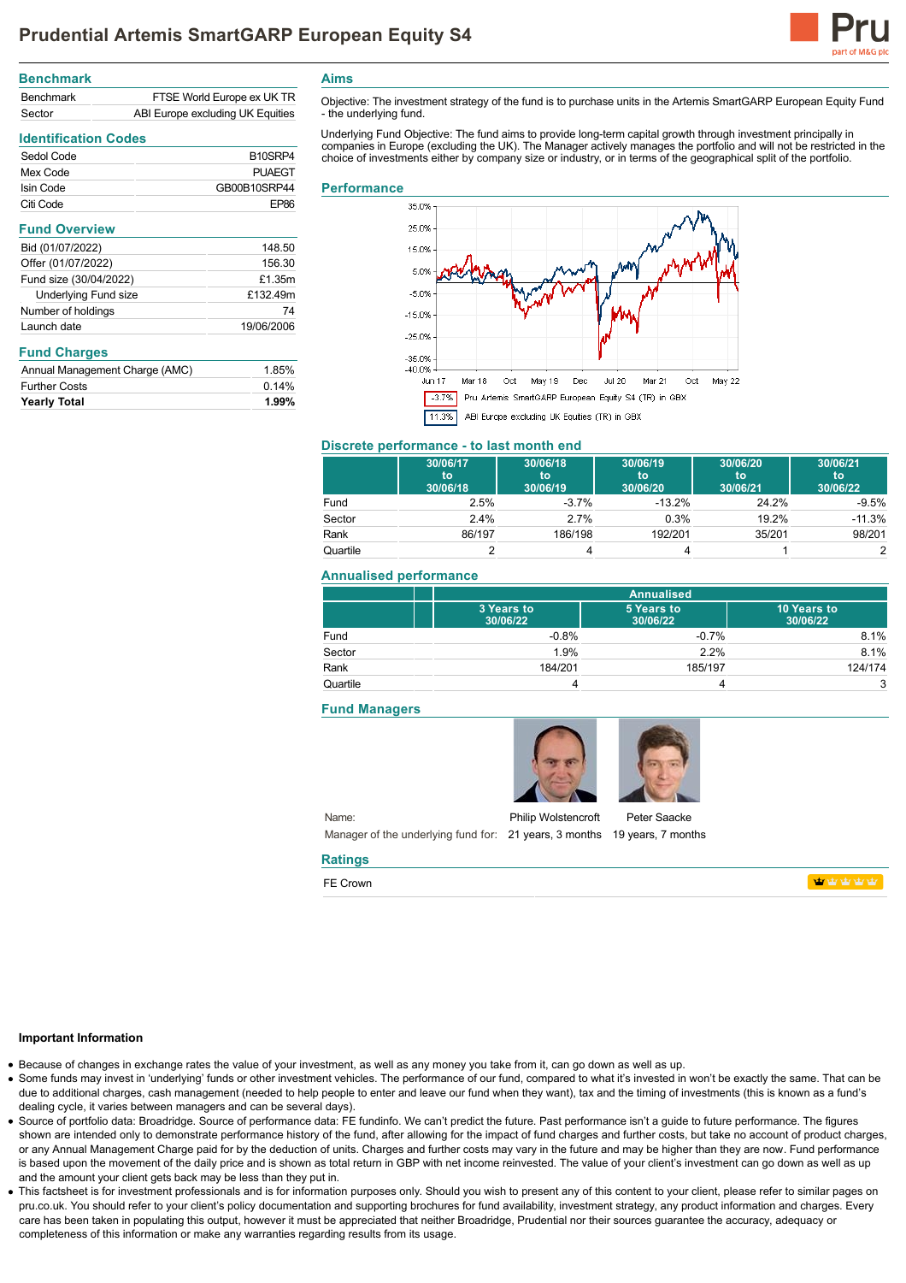

| <b>Benchmark</b>                           |                            |
|--------------------------------------------|----------------------------|
| <b>Benchmark</b>                           | FTSE World Europe ex UK TR |
| ABI Europe excluding UK Equities<br>Sector |                            |

# **Identification Codes**

| Sedol Code | B <sub>10</sub> SRP4 |
|------------|----------------------|
| Mex Code   | PUAFGT               |
| Isin Code  | GB00B10SRP44         |
| Citi Code  | FP86                 |
|            |                      |

| <b>Fund Overview</b>   |            |
|------------------------|------------|
| Bid (01/07/2022)       | 148.50     |
| Offer (01/07/2022)     | 156.30     |
| Fund size (30/04/2022) | £1.35m     |
| Underlying Fund size   | £132.49m   |
| Number of holdings     | 74         |
| Launch date            | 19/06/2006 |
|                        |            |

## **Fund Charges**

| <b>Yearly Total</b>            | 1.99% |
|--------------------------------|-------|
| <b>Further Costs</b>           | 0.14% |
| Annual Management Charge (AMC) | 1.85% |

**Aims**

Objective: The investment strategy of the fund is to purchase units in the Artemis SmartGARP European Equity Fund - the underlying fund.

Underlying Fund Objective: The fund aims to provide long-term capital growth through investment principally in<br>companies in Europe (excluding the UK). The Manager actively manages the portfolio and will not be restricted i choice of investments either by company size or industry, or in terms of the geographical split of the portfolio.

#### **Performance**



## **Discrete performance - to last month end**

|          | 30/06/17<br>to<br>30/06/18 | 30/06/18<br>to<br>30/06/19 | 30/06/19<br>to<br>30/06/20 | 30/06/20<br>'tō<br>30/06/21 | 30/06/21<br>to<br>30/06/22 |
|----------|----------------------------|----------------------------|----------------------------|-----------------------------|----------------------------|
| Fund     | 2.5%                       | $-3.7\%$                   | $-13.2%$                   | 24.2%                       | $-9.5%$                    |
| Sector   | $2.4\%$                    | 2.7%                       | 0.3%                       | 19.2%                       | $-11.3%$                   |
| Rank     | 86/197                     | 186/198                    | 192/201                    | 35/201                      | 98/201                     |
| Quartile |                            |                            |                            |                             |                            |

### **Annualised performance**

|          |                        | <b>Annualised</b>      |                         |  |
|----------|------------------------|------------------------|-------------------------|--|
|          | 3 Years to<br>30/06/22 | 5 Years to<br>30/06/22 | 10 Years to<br>30/06/22 |  |
| Fund     | $-0.8%$                | $-0.7%$                | 8.1%                    |  |
| Sector   | 1.9%                   | 2.2%                   | 8.1%                    |  |
| Rank     | 184/201                | 185/197                | 124/174                 |  |
| Quartile |                        | 4                      | 3                       |  |

## **Fund Managers**



Name: Manager of the underlying fund for: 21 years, 3 months 19 years, 7 months Philip Wolstencroft

Peter Saacke

**Monday Mark** 

#### **Important Information**

Because of changes in exchange rates the value of your investment, as well as any money you take from it, can go down as well as up.

**Ratings** FE Crown

- Some funds may invest in 'underlying' funds or other investment vehicles. The performance of our fund, compared to what it's invested in won't be exactly the same. That can be due to additional charges, cash management (needed to help people to enter and leave our fund when they want), tax and the timing of investments (this is known as a fund's dealing cycle, it varies between managers and can be several days).
- Source of portfolio data: Broadridge. Source of performance data: FE fundinfo. We can't predict the future. Past performance isn't a guide to future performance. The figures shown are intended only to demonstrate performance history of the fund, after allowing for the impact of fund charges and further costs, but take no account of product charges, or any Annual Management Charge paid for by the deduction of units. Charges and further costs may vary in the future and may be higher than they are now. Fund performance is based upon the movement of the daily price and is shown as total return in GBP with net income reinvested. The value of your client's investment can go down as well as up and the amount your client gets back may be less than they put in.
- This factsheet is for investment professionals and is for information purposes only. Should you wish to present any of this content to your client, please refer to similar pages on pru.co.uk. You should refer to your client's policy documentation and supporting brochures for fund availability, investment strategy, any product information and charges. Every care has been taken in populating this output, however it must be appreciated that neither Broadridge. Prudential nor their sources guarantee the accuracy, adequacy or completeness of this information or make any warranties regarding results from its usage.